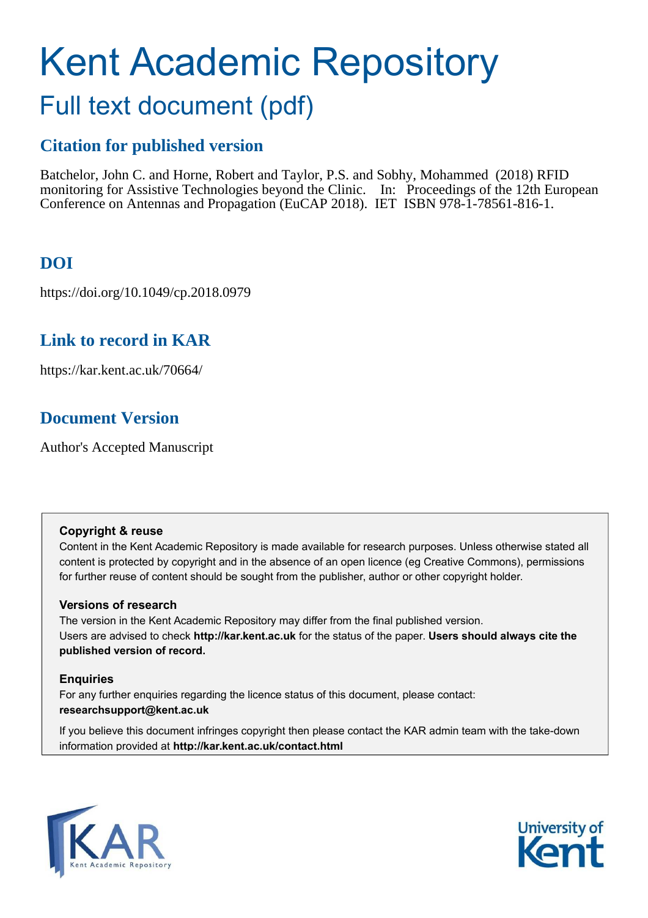# Kent Academic Repository Full text document (pdf)

### **Citation for published version**

Batchelor, John C. and Horne, Robert and Taylor, P.S. and Sobhy, Mohammed (2018) RFID monitoring for Assistive Technologies beyond the Clinic. In: Proceedings of the 12th European Conference on Antennas and Propagation (EuCAP 2018). IET ISBN 978-1-78561-816-1.

### **DOI**

https://doi.org/10.1049/cp.2018.0979

### **Link to record in KAR**

https://kar.kent.ac.uk/70664/

### **Document Version**

Author's Accepted Manuscript

#### **Copyright & reuse**

Content in the Kent Academic Repository is made available for research purposes. Unless otherwise stated all content is protected by copyright and in the absence of an open licence (eg Creative Commons), permissions for further reuse of content should be sought from the publisher, author or other copyright holder.

#### **Versions of research**

The version in the Kent Academic Repository may differ from the final published version. Users are advised to check **http://kar.kent.ac.uk** for the status of the paper. **Users should always cite the published version of record.**

#### **Enquiries**

For any further enquiries regarding the licence status of this document, please contact: **researchsupport@kent.ac.uk**

If you believe this document infringes copyright then please contact the KAR admin team with the take-down information provided at **http://kar.kent.ac.uk/contact.html**



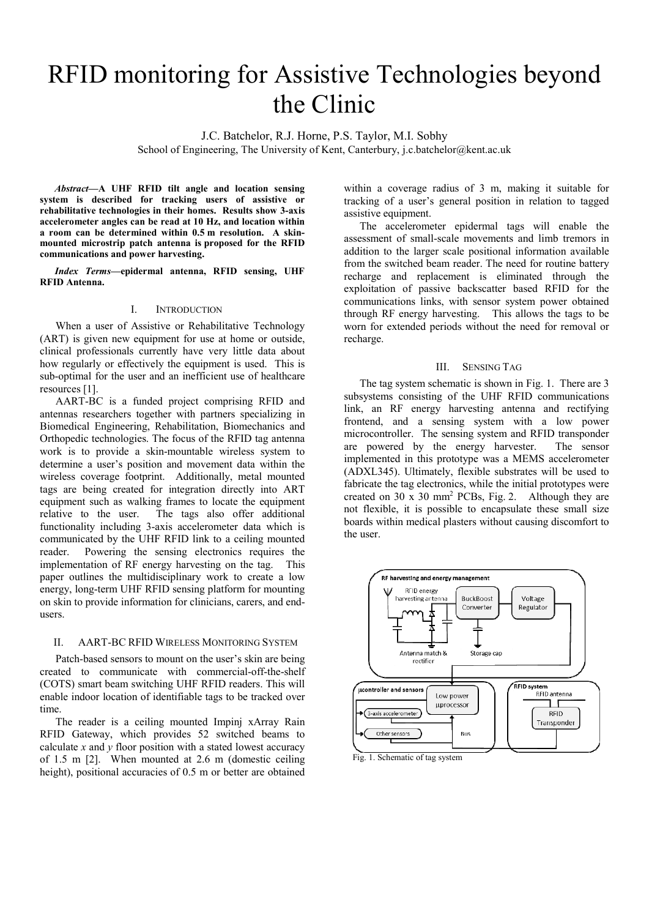## RFID monitoring for Assistive Technologies beyond the Clinic

J.C. Batchelor, R.J. Horne, P.S. Taylor, M.I. Sobhy

School of Engineering, The University of Kent, Canterbury, j.c.batchelor@kent.ac.uk

Abstract-A UHF RFID tilt angle and location sensing **system is described for tracking users of assistive or rehabilitative technologies in their homes. Results show 3-axis accelerometer angles can be read at 10 Hz, and location within a room can be determined within 0.5 m resolution. A skinmounted microstrip patch antenna is proposed for the RFID communications and power harvesting.** 

*Index Terms*—epidermal antenna, RFID sensing, UHF **RFID Antenna.**

#### I. INTRODUCTION

When a user of Assistive or Rehabilitative Technology (ART) is given new equipment for use at home or outside, clinical professionals currently have very little data about how regularly or effectively the equipment is used. This is sub-optimal for the user and an inefficient use of healthcare resources [1].

AART-BC is a funded project comprising RFID and antennas researchers together with partners specializing in Biomedical Engineering, Rehabilitation, Biomechanics and Orthopedic technologies. The focus of the RFID tag antenna work is to provide a skin-mountable wireless system to determine a user's position and movement data within the wireless coverage footprint. Additionally, metal mounted tags are being created for integration directly into ART equipment such as walking frames to locate the equipment relative to the user. The tags also offer additional functionality including 3-axis accelerometer data which is communicated by the UHF RFID link to a ceiling mounted reader. Powering the sensing electronics requires the implementation of RF energy harvesting on the tag. This paper outlines the multidisciplinary work to create a low energy, long-term UHF RFID sensing platform for mounting on skin to provide information for clinicians, carers, and endusers.

#### II. AART-BC RFID WIRELESS MONITORING SYSTEM

Patch-based sensors to mount on the user's skin are being created to communicate with commercial-off-the-shelf (COTS) smart beam switching UHF RFID readers. This will enable indoor location of identifiable tags to be tracked over time.

The reader is a ceiling mounted Impinj xArray Rain RFID Gateway, which provides 52 switched beams to calculate *x* and *y* floor position with a stated lowest accuracy of 1.5 m [2]. When mounted at 2.6 m (domestic ceiling height), positional accuracies of 0.5 m or better are obtained

within a coverage radius of 3 m, making it suitable for tracking of a user's general position in relation to tagged assistive equipment.

The accelerometer epidermal tags will enable the assessment of small-scale movements and limb tremors in addition to the larger scale positional information available from the switched beam reader. The need for routine battery recharge and replacement is eliminated through the exploitation of passive backscatter based RFID for the communications links, with sensor system power obtained through RF energy harvesting. This allows the tags to be worn for extended periods without the need for removal or recharge.

#### III. SENSING TAG

The tag system schematic is shown in Fig. 1. There are 3 subsystems consisting of the UHF RFID communications link, an RF energy harvesting antenna and rectifying frontend, and a sensing system with a low power microcontroller. The sensing system and RFID transponder are powered by the energy harvester. The sensor implemented in this prototype was a MEMS accelerometer (ADXL345). Ultimately, flexible substrates will be used to fabricate the tag electronics, while the initial prototypes were created on 30 x 30 mm<sup>2</sup> PCBs, Fig. 2. Although they are not flexible, it is possible to encapsulate these small size boards within medical plasters without causing discomfort to the user.



Fig. 1. Schematic of tag system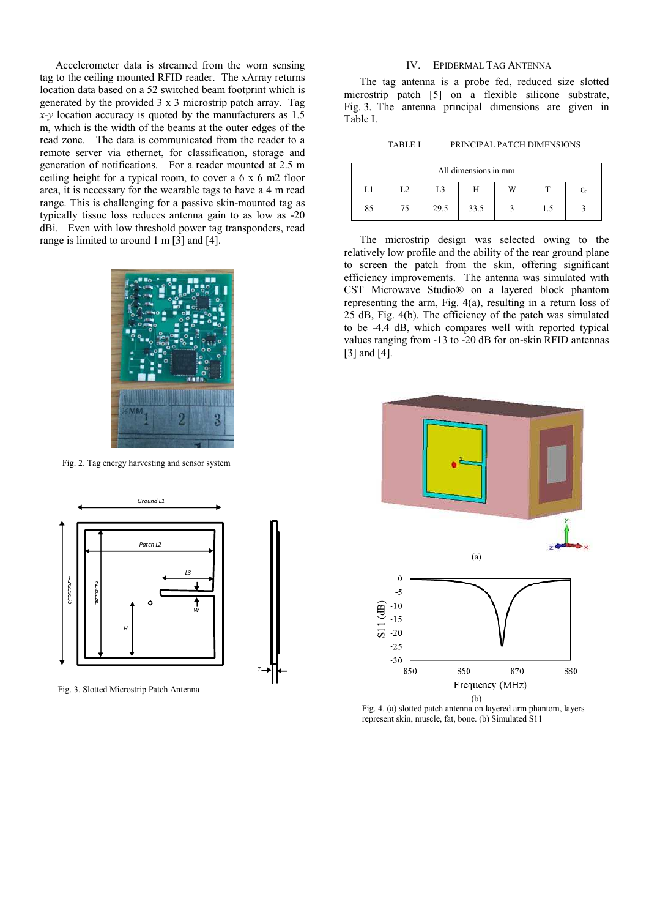Accelerometer data is streamed from the worn sensing tag to the ceiling mounted RFID reader. The xArray returns location data based on a 52 switched beam footprint which is generated by the provided 3 x 3 microstrip patch array. Tag *x-y* location accuracy is quoted by the manufacturers as 1.5 m, which is the width of the beams at the outer edges of the read zone. The data is communicated from the reader to a remote server via ethernet, for classification, storage and generation of notifications. For a reader mounted at 2.5 m ceiling height for a typical room, to cover a 6 x 6 m2 floor area, it is necessary for the wearable tags to have a 4 m read range. This is challenging for a passive skin-mounted tag as typically tissue loss reduces antenna gain to as low as -20 dBi. Even with low threshold power tag transponders, read range is limited to around 1 m [3] and [4].



Fig. 2. Tag energy harvesting and sensor system



Fig. 3. Slotted Microstrip Patch Antenna

#### IV. EPIDERMAL TAG ANTENNA

The tag antenna is a probe fed, reduced size slotted microstrip patch [5] on a flexible silicone substrate, Fig. 3. The antenna principal dimensions are given in Table I.

TABLE I PRINCIPAL PATCH DIMENSIONS

| All dimensions in mm |                |       |      |   |     |                              |
|----------------------|----------------|-------|------|---|-----|------------------------------|
|                      | $\mathfrak{a}$ | $L^2$ |      | W |     | $\epsilon_{\text{\tiny{r}}}$ |
| 85                   | 75             | 29.5  | 33.5 |   | 1.5 |                              |

The microstrip design was selected owing to the relatively low profile and the ability of the rear ground plane to screen the patch from the skin, offering significant efficiency improvements. The antenna was simulated with CST Microwave StudioÆ on a layered block phantom representing the arm, Fig. 4(a), resulting in a return loss of 25 dB, Fig. 4(b). The efficiency of the patch was simulated to be -4.4 dB, which compares well with reported typical values ranging from -13 to -20 dB for on-skin RFID antennas [3] and [4].



Fig. 4. (a) slotted patch antenna on layered arm phantom, layers represent skin, muscle, fat, bone. (b) Simulated S11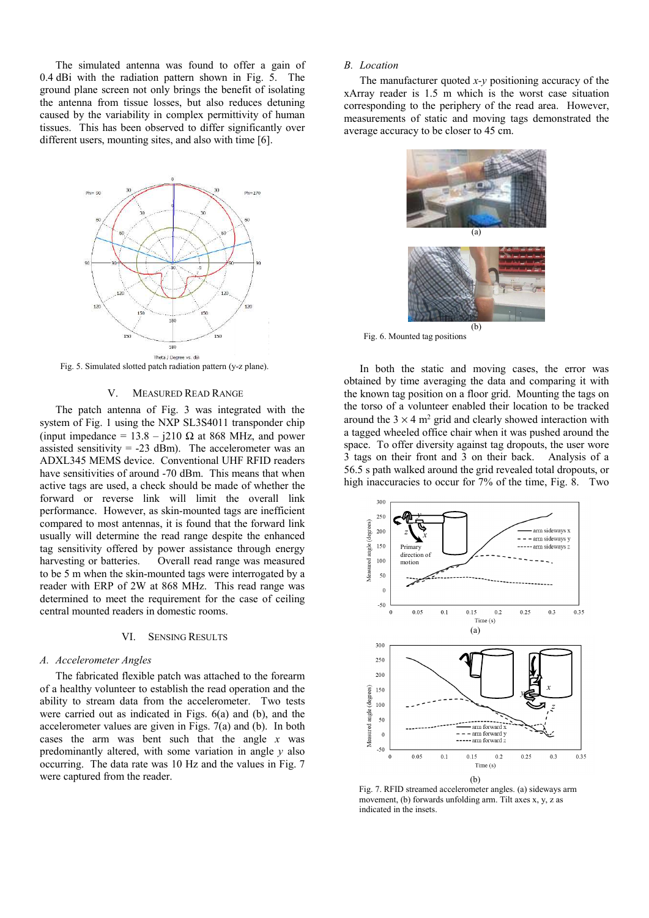The simulated antenna was found to offer a gain of 0.4 dBi with the radiation pattern shown in Fig. 5. The ground plane screen not only brings the benefit of isolating the antenna from tissue losses, but also reduces detuning caused by the variability in complex permittivity of human tissues. This has been observed to differ significantly over different users, mounting sites, and also with time [6].



Fig. 5. Simulated slotted patch radiation pattern (y-z plane).

#### V. MEASURED READ RANGE

The patch antenna of Fig. 3 was integrated with the system of Fig. 1 using the NXP SL3S4011 transponder chip (input impedance =  $13.8 - j210 \Omega$  at 868 MHz, and power assisted sensitivity  $= -23$  dBm). The accelerometer was an ADXL345 MEMS device. Conventional UHF RFID readers have sensitivities of around -70 dBm. This means that when active tags are used, a check should be made of whether the forward or reverse link will limit the overall link performance. However, as skin-mounted tags are inefficient compared to most antennas, it is found that the forward link usually will determine the read range despite the enhanced tag sensitivity offered by power assistance through energy harvesting or batteries. Overall read range was measured to be 5 m when the skin-mounted tags were interrogated by a reader with ERP of 2W at 868 MHz. This read range was determined to meet the requirement for the case of ceiling central mounted readers in domestic rooms.

#### VI. SENSING RESULTS

#### *A. Accelerometer Angles*

The fabricated flexible patch was attached to the forearm of a healthy volunteer to establish the read operation and the ability to stream data from the accelerometer. Two tests were carried out as indicated in Figs. 6(a) and (b), and the accelerometer values are given in Figs. 7(a) and (b). In both cases the arm was bent such that the angle *x* was predominantly altered, with some variation in angle *y* also occurring. The data rate was 10 Hz and the values in Fig. 7 were captured from the reader.

#### *B. Location*

The manufacturer quoted *x-y* positioning accuracy of the xArray reader is 1.5 m which is the worst case situation corresponding to the periphery of the read area. However, measurements of static and moving tags demonstrated the average accuracy to be closer to 45 cm.



Fig. 6. Mounted tag positions

In both the static and moving cases, the error was obtained by time averaging the data and comparing it with the known tag position on a floor grid. Mounting the tags on the torso of a volunteer enabled their location to be tracked around the  $3 \times 4$  m<sup>2</sup> grid and clearly showed interaction with a tagged wheeled office chair when it was pushed around the space. To offer diversity against tag dropouts, the user wore 3 tags on their front and 3 on their back. Analysis of a 56.5 s path walked around the grid revealed total dropouts, or high inaccuracies to occur for 7% of the time, Fig. 8. Two



Fig. 7. RFID streamed accelerometer angles. (a) sideways arm movement, (b) forwards unfolding arm. Tilt axes x, y, z as indicated in the insets.